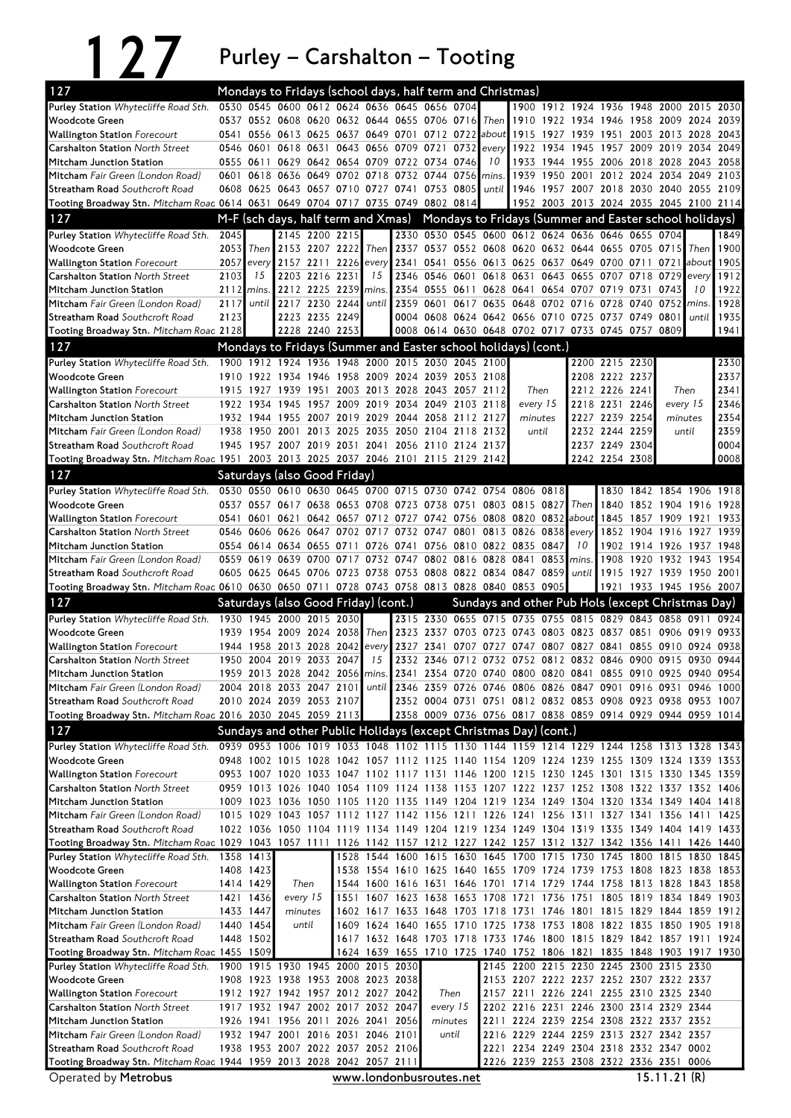127 Purley – Carshalton – Tooting

| 127                                                                                                                          |      |                        | Mondays to Fridays (school days, half term and Christmas)                                                                                                                              |                |                |               |      |                                    |                |                                                   |           |                                                                                                                  |                          |                |                |                          |              |
|------------------------------------------------------------------------------------------------------------------------------|------|------------------------|----------------------------------------------------------------------------------------------------------------------------------------------------------------------------------------|----------------|----------------|---------------|------|------------------------------------|----------------|---------------------------------------------------|-----------|------------------------------------------------------------------------------------------------------------------|--------------------------|----------------|----------------|--------------------------|--------------|
| Purley Station Whytecliffe Road Sth.                                                                                         |      |                        | 0530 0545 0600 0612 0624 0636 0645 0656 0704                                                                                                                                           |                |                |               |      |                                    |                |                                                   |           | 1900 1912 1924 1936 1948 2000 2015 2030                                                                          |                          |                |                |                          |              |
| <b>Woodcote Green</b>                                                                                                        |      |                        | 0537 0552 0608 0620 0632 0644 0655 0706 0716                                                                                                                                           |                |                |               |      |                                    | Then I         |                                                   |           | 1910 1922 1934 1946 1958 2009 2024                                                                               |                          |                |                |                          | 2039         |
| <b>Wallington Station</b> Forecourt                                                                                          | 0541 | 0556                   | 0613 0625                                                                                                                                                                              |                |                |               |      | 0637 0649 0701 0712 0722 about     |                | 1915                                              | 1927      | 1939                                                                                                             | 1951                     |                | 2003 2013 2028 |                          | 2043         |
| <b>Carshalton Station North Street</b>                                                                                       |      | 0546 0601              |                                                                                                                                                                                        |                |                |               |      | 0618 0631 0643 0656 0709 0721 0732 | every          |                                                   | 1922 1934 | 1945                                                                                                             | 1957 2009 2019 2034 2049 |                |                |                          |              |
| Mitcham Junction Station                                                                                                     |      | 0555 0611              |                                                                                                                                                                                        |                |                |               |      | 0629 0642 0654 0709 0722 0734 0746 | 10             |                                                   |           | 1933 1944 1955 2006 2018 2028 2043 2058                                                                          |                          |                |                |                          |              |
| Mitcham Fair Green (London Road)                                                                                             |      | 0601 0618<br>0608 0625 | 0636 0649 0702 0718 0732 0744 0756<br>0643 0657 0710 0727 0741                                                                                                                         |                |                |               |      | 0753 0805                          | mins.<br>until | 1939                                              | 1950 2001 |                                                                                                                  | 2012 2024 2034 2049 2103 |                |                | 2055                     | 2109         |
| <b>Streatham Road</b> Southcroft Road<br>Tooting Broadway Stn. Mitcham Roac 0614 0631 0649 0704 0717 0735 0749 0802 0814     |      |                        |                                                                                                                                                                                        |                |                |               |      |                                    |                |                                                   |           | 1946 1957 2007 2018 2030 2040<br>1952 2003 2013 2024 2035 2045 2100 2114                                         |                          |                |                |                          |              |
| 127                                                                                                                          |      |                        | M-F (sch days, half term and Xmas)                                                                                                                                                     |                |                |               |      |                                    |                |                                                   |           | Mondays to Fridays (Summer and Easter school holidays)                                                           |                          |                |                |                          |              |
| Purley Station Whytecliffe Road Sth.                                                                                         | 2045 |                        |                                                                                                                                                                                        | 2145 2200 2215 |                |               |      |                                    |                |                                                   |           | 2330 0530 0545 0600 0612 0624 0636 0646 0655 0704                                                                |                          |                |                |                          | 1849         |
| <b>Woodcote Green</b>                                                                                                        | 2053 | Then                   | 2153 2207 2222                                                                                                                                                                         |                |                |               |      |                                    |                |                                                   |           | Then 2337 0537 0552 0608 0620 0632 0644 0655 0705 0715                                                           |                          |                |                | Then                     | 1900         |
| <b>Wallington Station Forecourt</b>                                                                                          | 2057 | every                  | 2157 2211 2226                                                                                                                                                                         |                |                | every         |      |                                    |                |                                                   |           | 2341 0541 0556 0613 0625 0637 0649 0700 0711 0721 about                                                          |                          |                |                |                          | 1905         |
| <b>Carshalton Station North Street</b>                                                                                       | 2103 | 15                     |                                                                                                                                                                                        | 2203 2216 2231 |                | 15            |      | 2346 0546 0601                     | 0618 0631      |                                                   |           | 0643 0655 0707                                                                                                   |                          | 0718 0729      |                | every                    | 1912         |
| Mitcham Junction Station                                                                                                     | 2112 | mins.                  |                                                                                                                                                                                        | 2212 2225 2239 |                | mins.         |      | 2354 0555 0611                     |                |                                                   |           | 0628 0641 0654 0707 0719 0731 0743                                                                               |                          |                |                | 10                       | 1922         |
| Mitcham Fair Green (London Road)                                                                                             | 2117 | until                  | 2217 2230 2244                                                                                                                                                                         |                |                | until         |      |                                    |                | 2359 0601 0617 0635 0648 0702 0716                |           |                                                                                                                  | 0728 0740 0752 mins.     |                |                |                          | 1928         |
| Streatham Road Southcroft Road                                                                                               | 2123 |                        |                                                                                                                                                                                        | 2223 2235 2249 |                |               |      |                                    |                |                                                   |           | 0004 0608 0624 0642 0656 0710 0725 0737 0749 0801                                                                |                          |                |                | until                    | 1935         |
| Tooting Broadway Stn. Mitcham Roac 2128                                                                                      |      |                        |                                                                                                                                                                                        | 2228 2240 2253 |                |               |      |                                    |                |                                                   |           | 0008 0614 0630 0648 0702 0717 0733 0745 0757 0809                                                                |                          |                |                |                          | 1941         |
| 127                                                                                                                          |      |                        | Mondays to Fridays (Summer and Easter school holidays) (cont.)                                                                                                                         |                |                |               |      |                                    |                |                                                   |           |                                                                                                                  |                          |                |                |                          |              |
| Purley Station Whytecliffe Road Sth. 1900 1912 1924 1936 1948 2000 2015 2030 2045 2100                                       |      |                        |                                                                                                                                                                                        |                |                |               |      |                                    |                |                                                   |           |                                                                                                                  | 2200 2215 2230           |                |                |                          | 2330         |
| <b>Woodcote Green</b>                                                                                                        |      |                        | 1910 1922 1934 1946 1958 2009 2024 2039 2053 2108                                                                                                                                      |                |                |               |      |                                    |                |                                                   |           |                                                                                                                  | 2208 2222 2237           |                |                |                          | 2337         |
| <b>Wallington Station Forecourt</b>                                                                                          |      | 1915 1927              | 1939                                                                                                                                                                                   | 1951           |                |               |      | 2003 2013 2028 2043 2057 2112      |                | Then                                              |           |                                                                                                                  | 2212 2226 2241           |                |                | Then                     | 2341         |
| <b>Carshalton Station North Street</b><br>Mitcham Junction Station                                                           |      | 1922 1934<br>1932 1944 | 1945<br>1955 2007 2019 2029 2044 2058 2112 2127                                                                                                                                        | 1957           | 2009 2019      |               | 2034 | 2049 2103 2118                     |                | every 15<br>minutes                               |           | 2218                                                                                                             | 2231<br>2227 2239 2254   | 2246           | every 15       | minutes                  | 2346<br>2354 |
| Mitcham Fair Green (London Road)                                                                                             | 1938 | 1950                   | 2001                                                                                                                                                                                   |                | 2013 2025 2035 |               | 2050 | 2104 2118                          | 2132           | until                                             |           |                                                                                                                  | 2232 2244 2259           |                |                | until                    | 2359         |
| Streatham Road Southcroft Road                                                                                               |      |                        | 1945 1957 2007 2019 2031 2041 2056 2110 2124 2137                                                                                                                                      |                |                |               |      |                                    |                |                                                   |           |                                                                                                                  | 2237 2249 2304           |                |                |                          | 0004         |
| Tooting Broadway Stn. Mitcham Roac 1951 2003 2013 2025 2037 2046 2101 2115 2129 2142                                         |      |                        |                                                                                                                                                                                        |                |                |               |      |                                    |                |                                                   |           |                                                                                                                  | 2242 2254 2308           |                |                |                          | 0008         |
| 127                                                                                                                          |      |                        | Saturdays (also Good Friday)                                                                                                                                                           |                |                |               |      |                                    |                |                                                   |           |                                                                                                                  |                          |                |                |                          |              |
| Purley Station Whytecliffe Road Sth.                                                                                         |      |                        | 0530 0550 0610 0630 0645 0700 0715 0730 0742 0754 0806 0818                                                                                                                            |                |                |               |      |                                    |                |                                                   |           |                                                                                                                  |                          |                |                | 1830 1842 1854 1906 1918 |              |
| <b>Woodcote Green</b>                                                                                                        |      |                        | 0537 0557 0617 0638 0653 0708 0723 0738 0751                                                                                                                                           |                |                |               |      |                                    |                | 0803 0815 0827                                    |           | Then                                                                                                             | 1840                     |                |                | 1852 1904 1916 1928      |              |
| <b>Wallington Station Forecourt</b>                                                                                          |      | 0541 0601              |                                                                                                                                                                                        |                |                |               |      |                                    |                | 0621 0642 0657 0712 0727 0742 0756 0808 0820 0832 |           | about $1845$                                                                                                     |                          | 1857 1909 1921 |                |                          | 1933         |
| <b>Carshalton Station North Street</b>                                                                                       |      | 0546 0606              |                                                                                                                                                                                        |                |                |               |      | 0626 0647 0702 0717 0732 0747 0801 | 0813 0826      |                                                   | 0838      | every                                                                                                            | 1852                     | 1904 1916      |                | 1927                     | 1939         |
| Mitcham Junction Station                                                                                                     |      |                        | 0554 0614 0634 0655 0711 0726 0741 0756 0810 0822 0835 0847                                                                                                                            |                |                |               |      |                                    |                |                                                   |           | 10                                                                                                               | 1902                     |                |                | 1914 1926 1937 1948      |              |
| Mitcham Fair Green (London Road)                                                                                             |      |                        | 0559 0619 0639 0700 0717 0732 0747 0802 0816                                                                                                                                           |                |                |               |      |                                    | 0828 0841      |                                                   | 0853      | mins.                                                                                                            | 1908                     |                |                | 1920 1932 1943           | 1954         |
|                                                                                                                              |      |                        |                                                                                                                                                                                        |                |                |               |      |                                    |                |                                                   |           |                                                                                                                  |                          |                |                |                          |              |
| <b>Streatham Road</b> Southcroft Road                                                                                        |      | 0605 0625              | 0645 0706 0723 0738 0753 0808 0822 0834 0847                                                                                                                                           |                |                |               |      |                                    |                |                                                   | 0859      | until                                                                                                            | 1915                     | 1927 1939      |                | 1950 2001                |              |
| Tooting Broadway Stn. Mitcham Roac 0610 0630 0650 0711 0728 0743 0758 0813 0828 0840 0853 0905                               |      |                        |                                                                                                                                                                                        |                |                |               |      |                                    |                |                                                   |           |                                                                                                                  |                          |                |                | 1921 1933 1945 1956 2007 |              |
| 127                                                                                                                          |      |                        | Saturdays (also Good Friday) (cont.)                                                                                                                                                   |                |                |               |      |                                    |                |                                                   |           | Sundays and other Pub Hols (except Christmas Day)                                                                |                          |                |                |                          |              |
| Purley Station Whytecliffe Road Sth.                                                                                         | 1930 | 1945                   | 2000 2015 2030                                                                                                                                                                         |                |                |               |      |                                    |                |                                                   |           | 2315 2330 0655 0715 0735 0755 0815 0829 0843 0858 0911                                                           |                          |                |                |                          | 0924         |
| <b>Woodcote Green</b>                                                                                                        |      |                        | 1939 1954 2009 2024 2038                                                                                                                                                               |                |                | Then <b>I</b> |      |                                    |                |                                                   |           | 2323 2337 0703 0723 0743 0803 0823 0837 0851 0906 0919 0933                                                      |                          |                |                |                          |              |
| <b>Wallington Station</b> Forecourt                                                                                          | 1944 | 1958                   | 2013 2028 2042<br>1950 2004 2019 2033 2047                                                                                                                                             |                |                | every<br>15   |      |                                    |                |                                                   |           | 2327 2341 0707 0727 0747 0807 0827 0841<br>2332 2346 0712 0732 0752 0812 0832 0846 0900 0915 0930 0944           |                          |                |                | 0855 0910 0924           | 0938         |
| <b>Carshalton Station North Street</b><br>Mitcham Junction Station                                                           |      |                        | 1959 2013 2028 2042 2056 mins. 2341 2354 0720 0740 0800 0820 0841 0855 0910 0925 0940 0954                                                                                             |                |                |               |      |                                    |                |                                                   |           |                                                                                                                  |                          |                |                |                          |              |
| Mitcham Fair Green (London Road)                                                                                             |      |                        | 2004 2018 2033 2047 2101 until 2346 2359 0726 0746 0806 0826 0847 0901 0916 0931 0946 1000                                                                                             |                |                |               |      |                                    |                |                                                   |           |                                                                                                                  |                          |                |                |                          |              |
| Streatham Road Southcroft Road                                                                                               |      |                        | 2010 2024 2039 2053 2107                                                                                                                                                               |                |                |               |      |                                    |                |                                                   |           | 2352 0004 0731 0751 0812 0832 0853 0908 0923 0938 0953 1007                                                      |                          |                |                |                          |              |
| Tooting Broadway Stn. Mitcham Roac 2016 2030 2045 2059 2113                                                                  |      |                        |                                                                                                                                                                                        |                |                |               |      |                                    |                |                                                   |           | 2358 0009 0736 0756 0817 0838 0859 0914 0929 0944 0959 1014                                                      |                          |                |                |                          |              |
| 127                                                                                                                          |      |                        | Sundays and other Public Holidays (except Christmas Day) (cont.)                                                                                                                       |                |                |               |      |                                    |                |                                                   |           |                                                                                                                  |                          |                |                |                          |              |
| Purley Station Whytecliffe Road Sth.                                                                                         |      |                        | 0939 0953 1006 1019 1033 1048 1102 1115 1130 1144 1159 1214 1229 1244 1258 1313 1328 1343                                                                                              |                |                |               |      |                                    |                |                                                   |           |                                                                                                                  |                          |                |                |                          |              |
| Woodcote Green                                                                                                               |      |                        | 0948 1002 1015 1028 1042 1057 1112 1125 1140 1154 1209 1224 1239 1255 1309 1324 1339 1353                                                                                              |                |                |               |      |                                    |                |                                                   |           |                                                                                                                  |                          |                |                |                          |              |
| <b>Wallington Station Forecourt</b>                                                                                          |      |                        | 0953 1007 1020 1033 1047 1102 1117 1131 1146 1200 1215 1230 1245 1301 1315 1330 1345 1359                                                                                              |                |                |               |      |                                    |                |                                                   |           |                                                                                                                  |                          |                |                |                          |              |
| <b>Carshalton Station North Street</b>                                                                                       |      |                        | 0959 1013 1026 1040 1054 1109 1124 1138 1153 1207 1222 1237 1252 1308 1322 1337 1352 1406                                                                                              |                |                |               |      |                                    |                |                                                   |           |                                                                                                                  |                          |                |                |                          |              |
| Mitcham Junction Station                                                                                                     |      |                        | 1009 1023 1036 1050 1105 1120 1135 1149 1204 1219 1234 1249 1304 1320 1334 1349 1404 1418                                                                                              |                |                |               |      |                                    |                |                                                   |           |                                                                                                                  |                          |                |                |                          |              |
| Mitcham Fair Green (London Road)<br>Streatham Road Southcroft Road                                                           |      |                        | 1015 1029 1043 1057 1112 1127 1142 1156 1211 1226 1241 1256 1311 1327 1341 1356 1411 1425<br>1022 1036 1050 1104 1119 1134 1149 1204 1219 1234 1249 1304 1319 1335 1349 1404 1419 1433 |                |                |               |      |                                    |                |                                                   |           |                                                                                                                  |                          |                |                |                          |              |
| Tooting Broadway Stn. Mitcham Roac 1029 1043 1057 1111 1126 1142 1157 1212 1227 1242 1257 1312 1327 1342 1356 1411 1426 1440 |      |                        |                                                                                                                                                                                        |                |                |               |      |                                    |                |                                                   |           |                                                                                                                  |                          |                |                |                          |              |
| Purley Station Whytecliffe Road Sth.                                                                                         |      | 1358 1413              |                                                                                                                                                                                        |                |                |               |      |                                    |                |                                                   |           | 1528 1544 1600 1615 1630 1645 1700 1715 1730 1745 1800 1815 1830 1845                                            |                          |                |                |                          |              |
| <b>Woodcote Green</b>                                                                                                        |      | 1408 1423              |                                                                                                                                                                                        |                |                |               |      |                                    |                |                                                   |           | 1538 1554 1610 1625 1640 1655 1709 1724 1739 1753 1808 1823 1838 1853                                            |                          |                |                |                          |              |
| <b>Wallington Station Forecourt</b>                                                                                          |      | 1414 1429              | Then                                                                                                                                                                                   |                |                |               |      |                                    |                |                                                   |           | 1544 1600 1616 1631 1646 1701 1714 1729 1744 1758 1813 1828 1843 1858                                            |                          |                |                |                          |              |
| <b>Carshalton Station North Street</b>                                                                                       |      | 1421 1436              | every 15                                                                                                                                                                               |                |                |               |      | 1551 1607 1623 1638 1653 1708 1721 |                |                                                   |           | 1736 1751 1805 1819 1834 1849 1903                                                                               |                          |                |                |                          |              |
| Mitcham Junction Station                                                                                                     |      | 1433 1447              | minutes                                                                                                                                                                                |                |                |               |      |                                    |                |                                                   |           | 1602 1617 1633 1648 1703 1718 1731 1746 1801 1815 1829 1844 1859 1912                                            |                          |                |                |                          |              |
| Mitcham Fair Green (London Road)                                                                                             |      | 1440 1454              | until                                                                                                                                                                                  |                |                |               |      |                                    |                |                                                   |           | 1609 1624 1640 1655 1710 1725 1738 1753 1808 1822 1835 1850 1905 1918                                            |                          |                |                |                          |              |
| Streatham Road Southcroft Road                                                                                               |      | 1448 1502              |                                                                                                                                                                                        |                |                |               |      |                                    |                |                                                   |           | 1617 1632 1648 1703 1718 1733 1746 1800 1815 1829 1842 1857 1911 1924                                            |                          |                |                |                          |              |
| Tooting Broadway Stn. Mitcham Roac 1455 1509<br>Purley Station Whytecliffe Road Sth.                                         |      |                        | 1900 1915 1930 1945 2000 2015 2030                                                                                                                                                     |                |                |               |      |                                    |                |                                                   |           | 1624 1639 1655 1710 1725 1740 1752 1806 1821 1835 1848 1903 1917 1930<br>2145 2200 2215 2230 2245 2300 2315 2330 |                          |                |                |                          |              |
| <b>Woodcote Green</b>                                                                                                        |      |                        | 1908 1923 1938 1953 2008 2023 2038                                                                                                                                                     |                |                |               |      |                                    |                |                                                   |           | 2153 2207 2222 2237 2252 2307 2322 2337                                                                          |                          |                |                |                          |              |
| <b>Wallington Station Forecourt</b>                                                                                          |      |                        | 1912 1927 1942 1957 2012 2027 2042                                                                                                                                                     |                |                |               |      | Then                               |                |                                                   |           | 2157 2211 2226 2241 2255 2310 2325 2340                                                                          |                          |                |                |                          |              |
| <b>Carshalton Station North Street</b>                                                                                       |      |                        | 1917 1932 1947 2002 2017 2032 2047                                                                                                                                                     |                |                |               |      | every 15                           |                |                                                   |           | 2202 2216 2231 2246 2300 2314 2329 2344                                                                          |                          |                |                |                          |              |
| Mitcham Junction Station                                                                                                     |      |                        | 1926 1941 1956 2011 2026 2041 2056                                                                                                                                                     |                |                |               |      | minutes                            |                |                                                   |           | 2211 2224 2239 2254 2308 2322 2337 2352                                                                          |                          |                |                |                          |              |
| Mitcham Fair Green (London Road)<br>Streatham Road Southcroft Road                                                           |      |                        | 1932 1947 2001 2016 2031 2046 2101<br>1938 1953 2007 2022 2037 2052 2106                                                                                                               |                |                |               |      | until                              |                |                                                   |           | 2216 2229 2244 2259 2313 2327 2342 2357<br>2221 2234 2249 2304 2318 2332 2347 0002                               |                          |                |                |                          |              |

Operated by Metrobus **www.londonbusroutes.net** 15.11.21 (R)